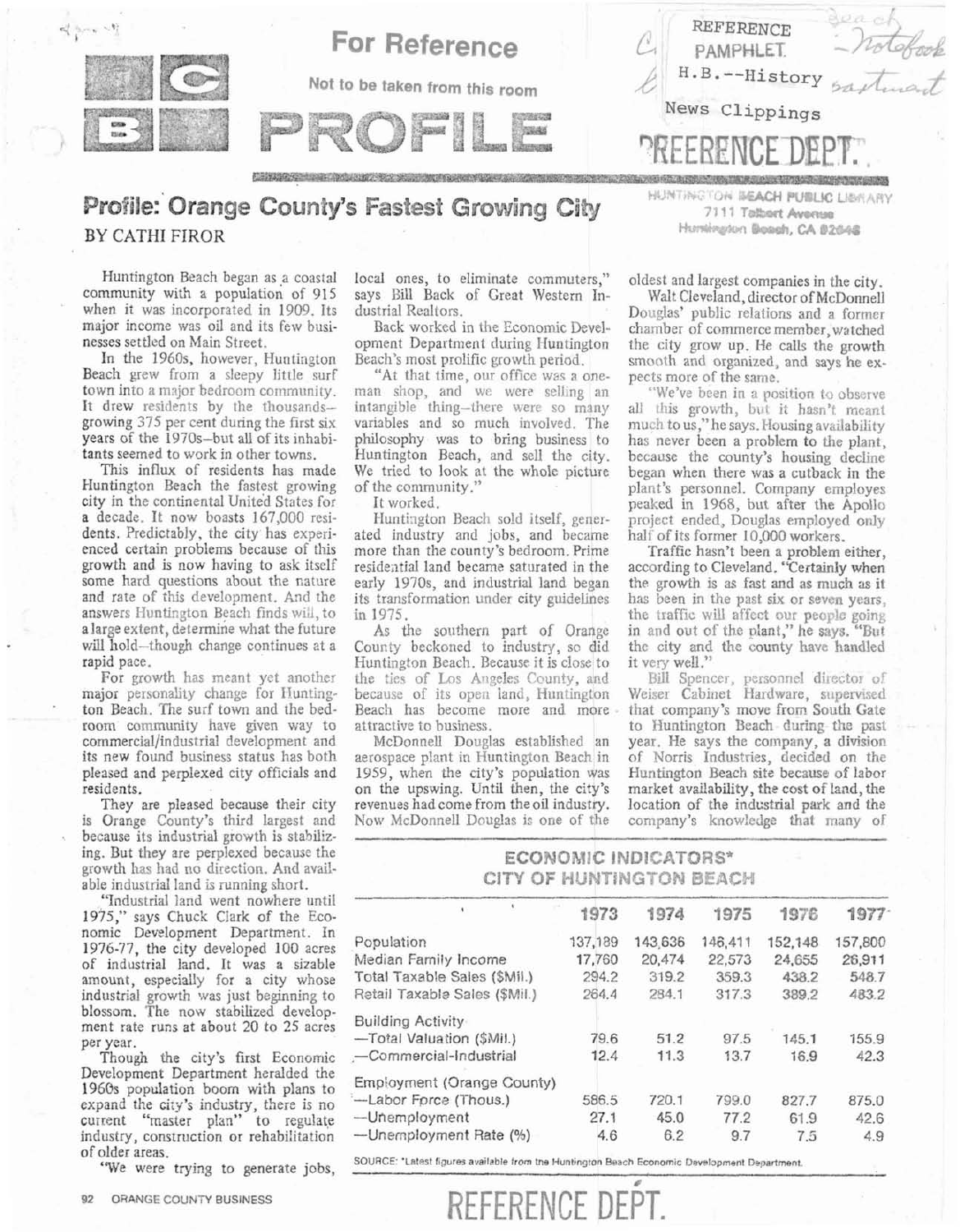

## **Profile: Orange County's Fastest Growing City hunting On BEACH PUBLIC LIBRARY BY CATHI** FIROR

Huntington Beach began as a coastal community with a population of 915 when it was incorporated in 1909. Its major income was oil and its few businesses settled on Main Street.

In the 1960s, however, Huntington Beach grew from a sleepy little surf town into a major bedroom community. It drew residents by the thousandsgrowing  $375$  per cent during the first six years of the 1970s-but all of its inhabitants seemed to work in other towns.

This influx of residents has made Huntington Beach the fastest growing city in the continental United States for a decade. It now boasts 167,000 residents. Predictably, the city has experienced certain problems because of this growth and is now having to ask itself some hard questions about the nature and rate of this development. And the answers Huntington Beach finds will, to a large extent, determine what the future will hold-though change continues at a rapid pace.

For growth has meant yet another major personality change for Funtington Beach. The surf town and the bedroom community have given way to cornmerciaI/industrial development and its new found business status has both pleased and perplexed city officials and residents.

They are pleased because their city is Orange County's third, largest and because its industrial growth is stabilizing. But they are perplexed because the growth has had no direction. And available industrial land is running short.

"Industrial land went nowhere until 1975." savs Chuck Clark of the Economic Development Department. In 1976-77, the city developed 100 acres of industrial land. It was a sizable amount, especially for a city whose blossom. The now stabilized development rate runs at about 20 to 25 acres

Though the city's first Economic Development Department heralded the 1960s population boom with plans to expand the city's industry, there is no current "master plan" to regulate industry, construction or rehabilitation of older areas.

local ones, to eliminate commuters," oldest and largest companies in the city. says Bill Back of Great Western In-<br>dustrial Realtors. Douglas' public relations and a former

"At that time, our office was a one-pects more of the same.<br>In shop, and we were selling an "We've been in a position to observe man shop, and we were selling an intangible thing-there were so many intangible thing-there were so many all this growth, but it hasn't meant variables and so much involved. The much to us "he says Housing availability variables and so much involved. The much to us," he says. Housing availability philosophy was to bring business to has never been a problem to the plant. We tried to look at the whole picture of the community."

ated industry and jobs, and became more than the county's bedroom. Prime more than the county's bedroom. Prime Traffic hasn't been a problem either, residential land became saturated in the according to Cleveland. "Certainly when early 1970s, and industrial land began the growth is as fast and as much as it its transformation under city guidelines has been in the past six or seven years. its transformation under city guidelines in 1975.

Huntington Beach. Because it is close to<br>the ties of Los Angeles County, and the ties of Los Angeles County, and Bill Spencer, personnel director of because of its open land, Huntington Weiser Cabinet Hardware, supervised because of its open land, Huntington Weiser Cabinet Hardware, supervised Beach has become more and more - that company's move from South Gate Beach has become more and more that company's move from South Gate<br>attractive to business.<br>to Huntington Beach during the past

McDonnell Douglas established an year. He says the company, a division aerospace plant in Huntington Beach in of Norris Industries, decided on the 1959, when the city's population was Huntington Beach site because of labor on the upswing. Until then, the city's market availability, the cost of land, the revenues had come from the oil industry. location of the industrial park and the Now McDonnell Douglas is one of the company's knowledge that many of

Hurstingdon Boach, CA 82646

strial Realtors.<br>Back worked in the Economic Devel-<br>chamber of commerce member watched Back worked in the Economic Devel-<br>chamber of commerce member, watched<br>opment Department during Huntington the city grow up. He calls the growth opment Department during Huntington the city grow up. He calls the growth Beach's most prolific growth period. smooth and organized, and says he ex<sup>4</sup>At that time, our office was a one-

philosophy was to bring business to has never been a problem to the plant, Huntington Beach, and sell the city, because the county's housing decline because the county's housing decline<br>began when there was a cutback in the the community." plant's personnel. Company employes It worked.<br>It worked. It worked.<br>Huntington Beach sold itself, gener- project ended, Douglas employed only project ended, Douglas employed only<br>half of its former 10,000 workers.

1975. the traffic will affect our people going<br>As the southern part of Orange in and out of the plant," he says. "But As the southern part of Orange in and out of the plant," he says. "But County beckoned to industry, so did the city and the county have handled the city and the county have handled<br>it very well."

ractive to business. to Huntington Beach during the past McDonnell Douglas established an year. He says the company, a division of Norris Industries, decided on the<br>Huntington Beach site because of labor company's knowledge that many of

## **ECONOMIC INDICATORS\* CITY OF HUNTINGTON BEACH**

| ALLARDER ALLA SALLAR TE VILLE SAN TERRIVA VILLE<br>1975," says Chuck Clark of the Eco-<br>nomic Development Department. In<br>1976-77, the city developed 100 acres<br>of industrial land. It was a sizable<br>amount, especially for a city whose |                               | 1973    | 1974    | 1975    | 1976    | 1977    |
|----------------------------------------------------------------------------------------------------------------------------------------------------------------------------------------------------------------------------------------------------|-------------------------------|---------|---------|---------|---------|---------|
|                                                                                                                                                                                                                                                    | Population                    | 137,189 | 143,636 | 146,411 | 152,148 | 157,800 |
|                                                                                                                                                                                                                                                    | Median Family Income          | 17,760  | 20,474  | 22,573  | 24,655  | 26,911  |
|                                                                                                                                                                                                                                                    | Total Taxable Sales (\$Mil.)  | 294.2   | 319.2   | 359.3   | 438.2   | 548.7   |
| industrial growth was just beginning to                                                                                                                                                                                                            | Retail Taxable Sales (\$Mil.) | 264.4   | 234.1   | 317.3   | 389.2   | 483.2   |
| blossom. The now stabilized develop-<br>ment rate runs at about 20 to 25 acres                                                                                                                                                                     | <b>Building Activity</b>      |         |         |         |         |         |
| per year.                                                                                                                                                                                                                                          | -Total Valuation (\$Mil.)     | 79.6    | 51.2    | 97.5    | 145.1   | 155.9   |
| Though the city's first Economic                                                                                                                                                                                                                   | -Commercial-Industrial        | 12.4    | 11.3    | 13.7    | 16.9    | 42.3    |
| Development Department heralded the<br>1960s population boom with plans to                                                                                                                                                                         | Employment (Orange County)    |         |         |         |         |         |
| expand the city's industry, there is no                                                                                                                                                                                                            | -Labor Force (Thous.)         | 586.5   | 720.1   | 799.0   | 827.7   | 875.0   |
| current "master plan" to regulate                                                                                                                                                                                                                  | -Unemployment                 | 27.1    | 45.0    | 77.2    | 61.9    | 42.6    |
| industry, construction or rehabilitation<br>$\mathcal{L} = 1.1$                                                                                                                                                                                    | -Unemployment Rate (%)        | 4.6     | 6.2     | 9.7     | 7.5     | 4.9     |

**SOURCE: 'Latest figures available from the Huntington Beach Economic Development Department.** "We were trying to generate jobs, <u>"The second of the second</u>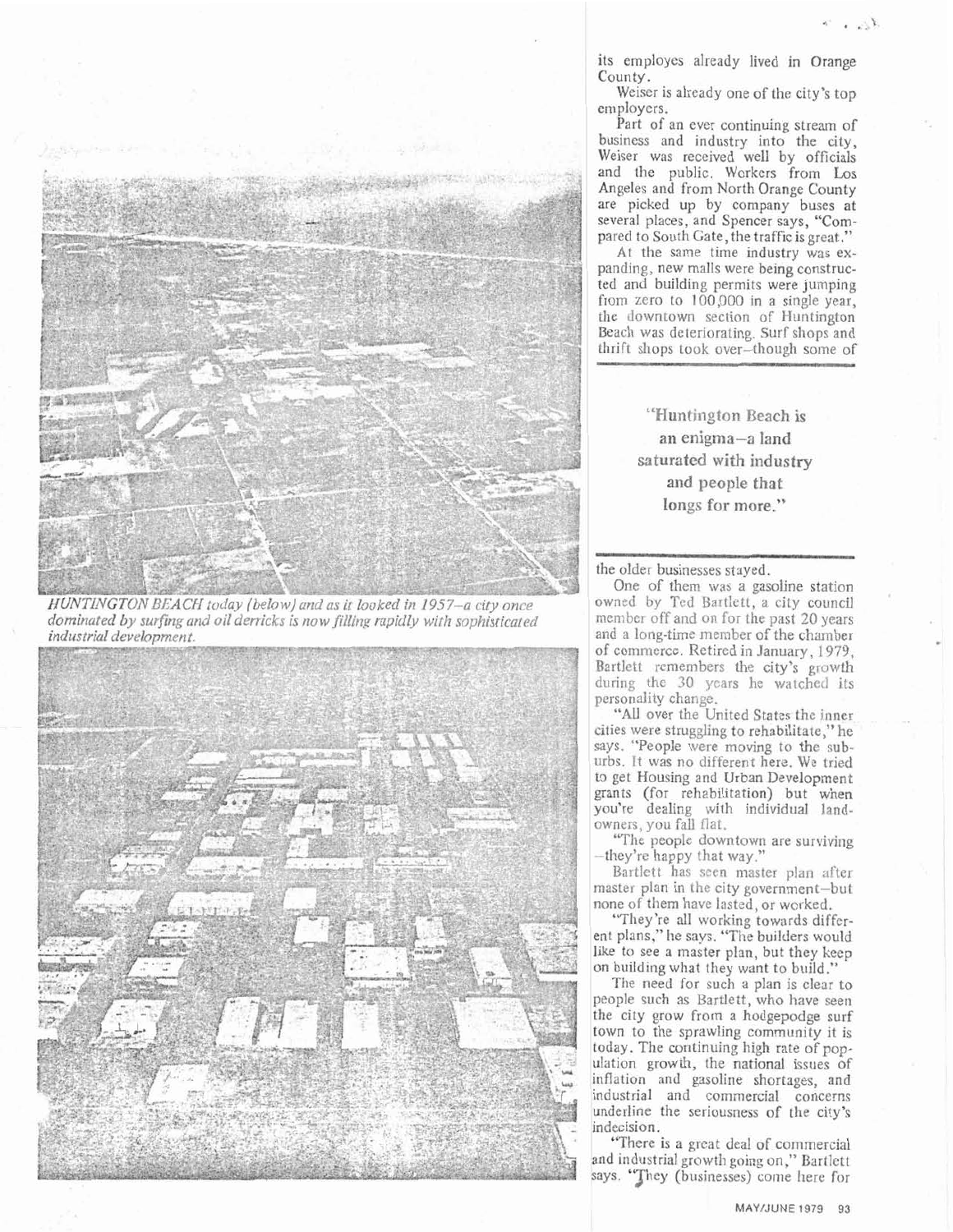

HUNTINGTON BEACH today (below) and as it looked in 1957-a city once dominated by surfing and oil derricks is now filling rapidly with sophisticated industrial development.



its employes already lived in Orange County.

Weiser is already one of the city's top employers.

Part of an ever continuing stream of business and industry into the city, Weiser was received well by officials and the public. Workers from Los Angeles and from North Orange County are picked up by company buses at<br>several places, and Spencer says, "Compared to South Gate, the traffic is great."

At the same time industry was expanding, new malls were being constructed and building permits were jumping from zero to 100,000 in a single year, the downtown section of Huntington Beach was deteriorating. Surf shops and thrift shops took over-though some of

> "Huntington Beach is an enigma-a land saturated with industry and people that longs for more."

the older businesses stayed.

One of them was a gasoline station owned by Ted Bartlett, a city council member off and on for the past 20 years and a long-time member of the chamber of commerce. Retired in January, 1979, Bartlett remembers the city's growth during the 30 years he watched its personality change.

"All over the United States the inner cities were struggling to rehabilitate," he says. "People were moving to the suburbs. It was no different here. We tried to get Housing and Urban Development grants (for rehabilitation) but when you're dealing with individual landowners, you fall flat.

"The people downtown are surviving -they're happy that way."

Bartlett has seen master plan after master plan in the city government-but none of them have lasted, or worked.

"They're all working towards different plans," he says. "The builders would like to see a master plan, but they keep on building what they want to build.

The need for such a plan is clear to people such as Bartlett, who have seen the city grow from a hodgepodge surf town to the sprawling community it is today. The continuing high rate of population growth, the national issues of inflation and gasoline shortages, and industrial and commercial concerns underline the seriousness of the city's indecision.

"There is a great deal of commercial and industrial growth going on," Bartlett says. "They (businesses) come here for

MAY/JUNE 1979 93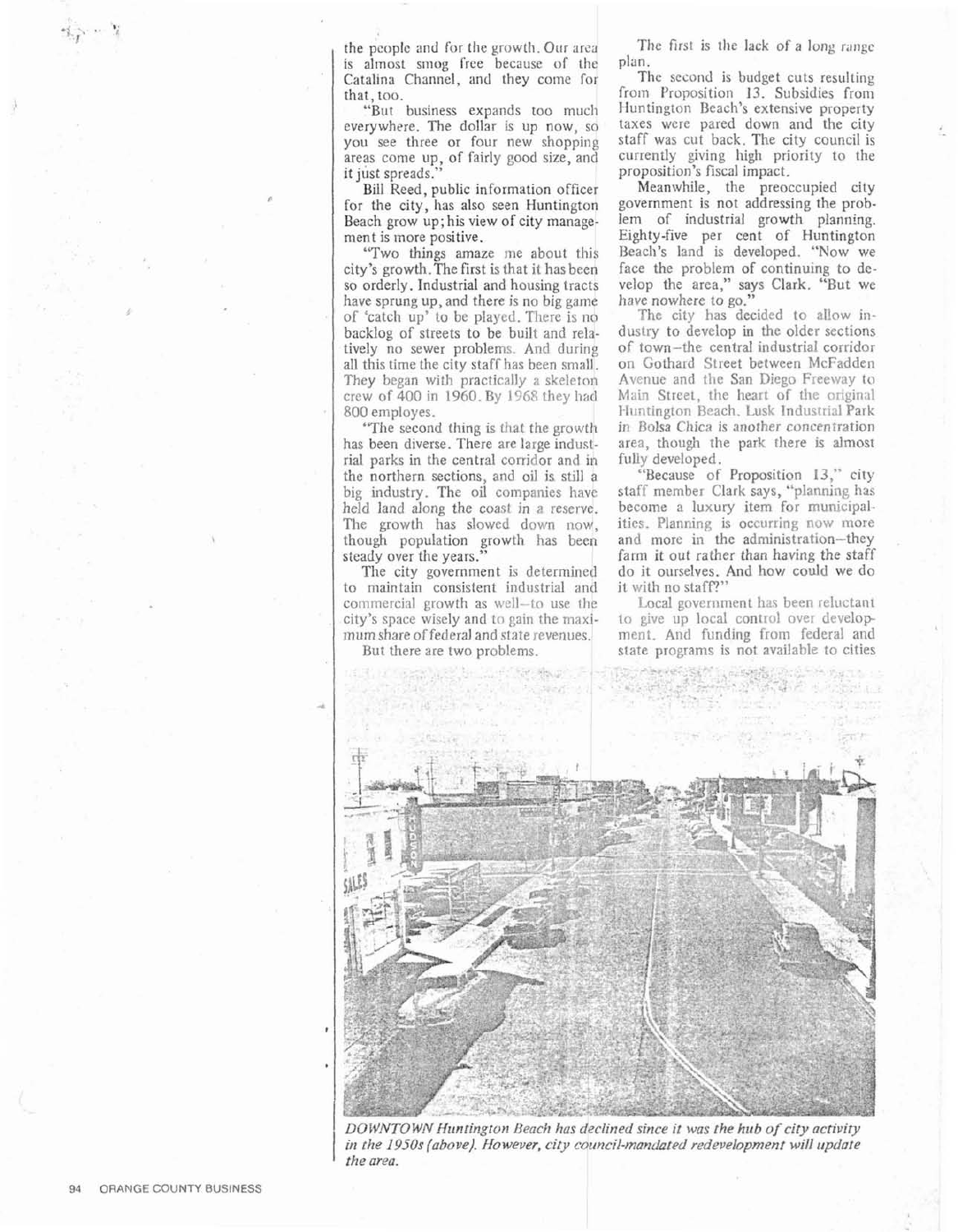the people and for the growth. Our area is almost smog free because of the Catalina Channel, and they come for that, too.

"But business expands too much everywhere. The dollar is up now, so you see three or four new shopping areas come up, of fairly good size, and it just spreads."

Bill Reed, public information officer for the city, has also seen Huntington Beach grow up; his view of city management is inore positive.

"Two things amaze me about this city's growth.The first is that jt has been so orderly. Industrial and housing tracts have sprung up, and there is no big game of 'catch up' to be played. There is no backlog of streets to be built and relatively no sewer problems. And during all this time the city staff has been small. They began with practically a skeleton crew of 400 in 1960. By 1968 they had 800 employes. <sup>I</sup>

"The second thing is that the growth has been diverse. There are large industrial parks in the central corridor and **ih**  the northern sections, and oil is still a big industry. The oil companies have held land along the coast in a reserve. The growth has slowed down now, though population growth has been steady over the years.'

The city government is determined to maintain consistent industrial and commercial growth as well-to use the city's space wisely and to gain the rnaximum share of federal and state revenues.

But there are two problems.

The first is the lack of a long range plan.

The second is budget cuts resulting from Proposition 13. Subsidies from Huntington Beach's extensive property taxes were pared down and the city staff was cut back. The city council is currently giving high priority to the proposition's fiscal impact.

Meanwhile, the preoccupied city government is not addressing the problem of industrial growth planning. Eighty-five per cent of Huntington Beach's land is developed. "Now we face the problem of continuing to develop the area," says Clark. "But we have nowhere to go."

The city has decided to allow industry to develop in the older sections of town-the central industrial corridor on Gothard Street between McFadden Avenue and the San Diego Freeway to Main Street, the heart of the original Huntington Beach, Lusk Industrial Park in Bolsa Chica is another concentration area, though the park there is almost fully developed.

"Because of Proposition **13,"** city staff member Clark says, "planning has become a luxury item for municipalities. Planning is occurring now more and more in the administration-they farm it out rather than having the staff do it ourselves. And hovr could we do it with no staff?"

Local government has been reluctant to give up local control over development. And funding from federal and state programs is not available to cities



**D0 ic!WVTQ** WN *Htlntir?gton* Reach *has declined since* **it** *was the* huh *01' city* activity **in** *tlze* **2950s** *{above). However,* **city** *council-mmclar~d redevelopment* **will** *update the area.*